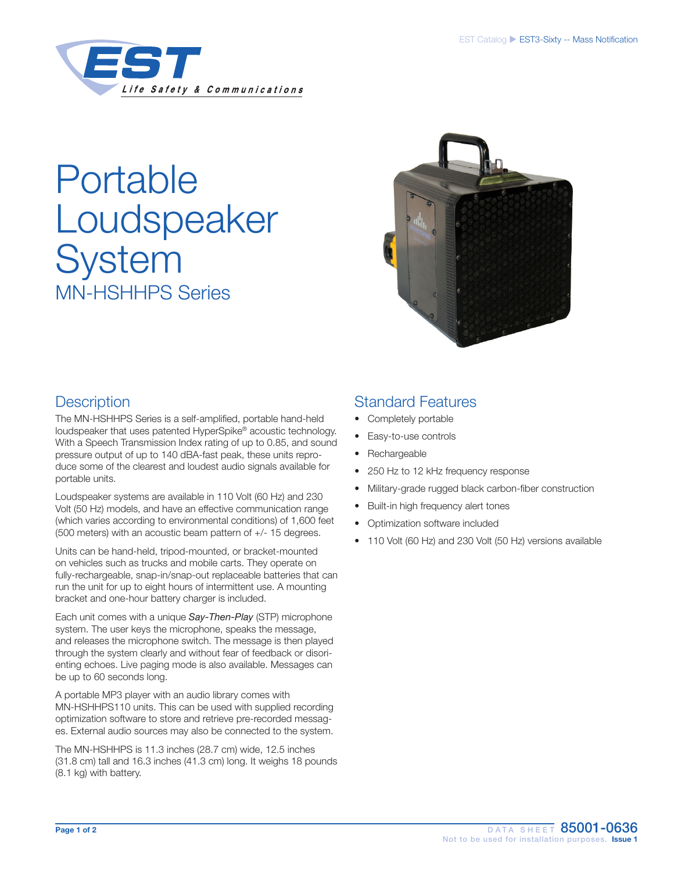

# Portable Loudspeaker **System** MN-HSHHPS Series



# **Description**

The MN-HSHHPS Series is a self-amplified, portable hand-held loudspeaker that uses patented HyperSpike® acoustic technology. With a Speech Transmission Index rating of up to 0.85, and sound pressure output of up to 140 dBA-fast peak, these units reproduce some of the clearest and loudest audio signals available for portable units.

Loudspeaker systems are available in 110 Volt (60 Hz) and 230 Volt (50 Hz) models, and have an effective communication range (which varies according to environmental conditions) of 1,600 feet (500 meters) with an acoustic beam pattern of +/- 15 degrees.

Units can be hand-held, tripod-mounted, or bracket-mounted on vehicles such as trucks and mobile carts. They operate on fully-rechargeable, snap-in/snap-out replaceable batteries that can run the unit for up to eight hours of intermittent use. A mounting bracket and one-hour battery charger is included.

Each unit comes with a unique *Say-Then-Play* (STP) microphone system. The user keys the microphone, speaks the message, and releases the microphone switch. The message is then played through the system clearly and without fear of feedback or disorienting echoes. Live paging mode is also available. Messages can be up to 60 seconds long.

A portable MP3 player with an audio library comes with MN-HSHHPS110 units. This can be used with supplied recording optimization software to store and retrieve pre-recorded messages. External audio sources may also be connected to the system.

The MN-HSHHPS is 11.3 inches (28.7 cm) wide, 12.5 inches (31.8 cm) tall and 16.3 inches (41.3 cm) long. It weighs 18 pounds (8.1 kg) with battery.

# Standard Features

- Completely portable
- Easy-to-use controls
- **Rechargeable**
- 250 Hz to 12 kHz frequency response
- Military-grade rugged black carbon-fiber construction
- Built-in high frequency alert tones
- Optimization software included
- 110 Volt (60 Hz) and 230 Volt (50 Hz) versions available